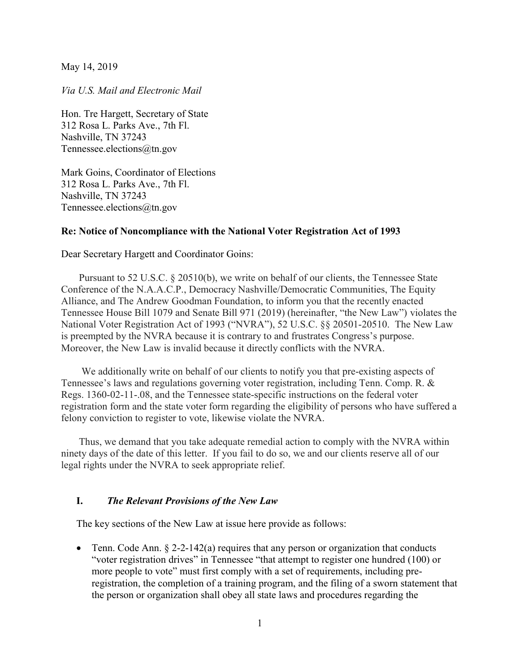May 14, 2019

Via U.S. Mail and Electronic Mail

Hon. Tre Hargett, Secretary of State 312 Rosa L. Parks Ave., 7th Fl. Nashville, TN 37243 Tennessee.elections@tn.gov

Mark Goins, Coordinator of Elections 312 Rosa L. Parks Ave., 7th Fl. Nashville, TN 37243 Tennessee.elections@tn.gov

## Re: Notice of Noncompliance with the National Voter Registration Act of 1993

Dear Secretary Hargett and Coordinator Goins:

Pursuant to 52 U.S.C. § 20510(b), we write on behalf of our clients, the Tennessee State Conference of the N.A.A.C.P., Democracy Nashville/Democratic Communities, The Equity Alliance, and The Andrew Goodman Foundation, to inform you that the recently enacted Tennessee House Bill 1079 and Senate Bill 971 (2019) (hereinafter, "the New Law") violates the National Voter Registration Act of 1993 ("NVRA"), 52 U.S.C. §§ 20501-20510. The New Law is preempted by the NVRA because it is contrary to and frustrates Congress's purpose. Moreover, the New Law is invalid because it directly conflicts with the NVRA.

 We additionally write on behalf of our clients to notify you that pre-existing aspects of Tennessee's laws and regulations governing voter registration, including Tenn. Comp. R. & Regs. 1360-02-11-.08, and the Tennessee state-specific instructions on the federal voter registration form and the state voter form regarding the eligibility of persons who have suffered a felony conviction to register to vote, likewise violate the NVRA.

Thus, we demand that you take adequate remedial action to comply with the NVRA within ninety days of the date of this letter. If you fail to do so, we and our clients reserve all of our legal rights under the NVRA to seek appropriate relief.

## I. The Relevant Provisions of the New Law

The key sections of the New Law at issue here provide as follows:

• Tenn. Code Ann.  $\S 2-2-142(a)$  requires that any person or organization that conducts "voter registration drives" in Tennessee "that attempt to register one hundred (100) or more people to vote" must first comply with a set of requirements, including preregistration, the completion of a training program, and the filing of a sworn statement that the person or organization shall obey all state laws and procedures regarding the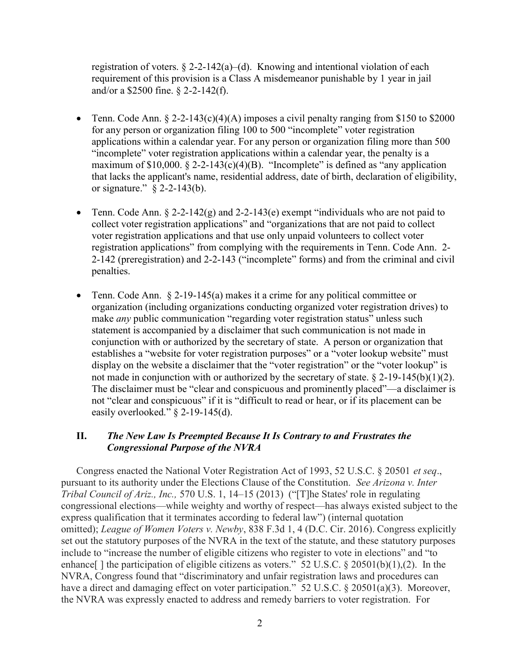registration of voters.  $\S 2-2-142(a)$ –(d). Knowing and intentional violation of each requirement of this provision is a Class A misdemeanor punishable by 1 year in jail and/or a \$2500 fine. § 2-2-142(f).

- Tenn. Code Ann.  $\S 2$ -2-143(c)(4)(A) imposes a civil penalty ranging from \$150 to \$2000 for any person or organization filing 100 to 500 "incomplete" voter registration applications within a calendar year. For any person or organization filing more than 500 "incomplete" voter registration applications within a calendar year, the penalty is a maximum of  $$10,000$ .  $$2-2-143(c)(4)(B)$ . "Incomplete" is defined as "any application that lacks the applicant's name, residential address, date of birth, declaration of eligibility, or signature." § 2-2-143(b).
- Tenn. Code Ann. § 2-2-142(g) and 2-2-143(e) exempt "individuals who are not paid to collect voter registration applications" and "organizations that are not paid to collect voter registration applications and that use only unpaid volunteers to collect voter registration applications" from complying with the requirements in Tenn. Code Ann. 2- 2-142 (preregistration) and 2-2-143 ("incomplete" forms) and from the criminal and civil penalties.
- Tenn. Code Ann.  $\S 2$ -19-145(a) makes it a crime for any political committee or organization (including organizations conducting organized voter registration drives) to make *any* public communication "regarding voter registration status" unless such statement is accompanied by a disclaimer that such communication is not made in conjunction with or authorized by the secretary of state. A person or organization that establishes a "website for voter registration purposes" or a "voter lookup website" must display on the website a disclaimer that the "voter registration" or the "voter lookup" is not made in conjunction with or authorized by the secretary of state.  $\S 2$ -19-145(b)(1)(2). The disclaimer must be "clear and conspicuous and prominently placed"—a disclaimer is not "clear and conspicuous" if it is "difficult to read or hear, or if its placement can be easily overlooked." § 2-19-145(d).

## II. The New Law Is Preempted Because It Is Contrary to and Frustrates the Congressional Purpose of the NVRA

Congress enacted the National Voter Registration Act of 1993, 52 U.S.C. § 20501 et seq., pursuant to its authority under the Elections Clause of the Constitution. See Arizona v. Inter Tribal Council of Ariz., Inc., 570 U.S. 1, 14–15 (2013) ("[T]he States' role in regulating congressional elections—while weighty and worthy of respect—has always existed subject to the express qualification that it terminates according to federal law") (internal quotation omitted); League of Women Voters v. Newby, 838 F.3d 1, 4 (D.C. Cir. 2016). Congress explicitly set out the statutory purposes of the NVRA in the text of the statute, and these statutory purposes include to "increase the number of eligible citizens who register to vote in elections" and "to enhance[] the participation of eligible citizens as voters." 52 U.S.C. § 20501(b)(1),(2). In the NVRA, Congress found that "discriminatory and unfair registration laws and procedures can have a direct and damaging effect on voter participation." 52 U.S.C. § 20501(a)(3). Moreover, the NVRA was expressly enacted to address and remedy barriers to voter registration. For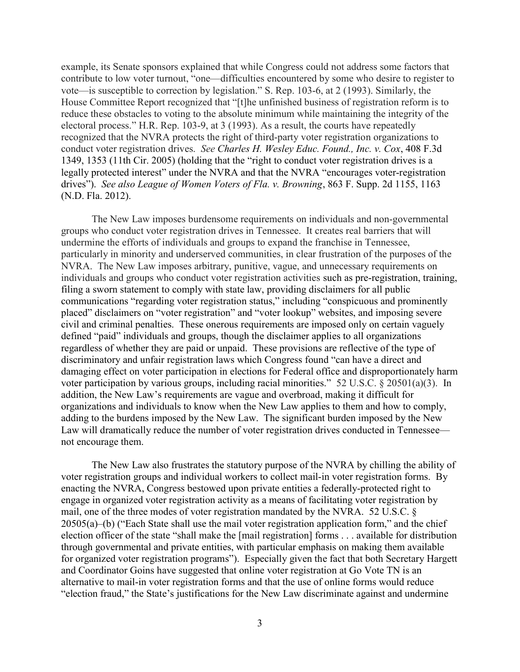example, its Senate sponsors explained that while Congress could not address some factors that contribute to low voter turnout, "one—difficulties encountered by some who desire to register to vote—is susceptible to correction by legislation." S. Rep. 103-6, at 2 (1993). Similarly, the House Committee Report recognized that "[t]he unfinished business of registration reform is to reduce these obstacles to voting to the absolute minimum while maintaining the integrity of the electoral process." H.R. Rep. 103-9, at 3 (1993). As a result, the courts have repeatedly recognized that the NVRA protects the right of third-party voter registration organizations to conduct voter registration drives. See Charles H. Wesley Educ. Found., Inc. v. Cox, 408 F.3d 1349, 1353 (11th Cir. 2005) (holding that the "right to conduct voter registration drives is a legally protected interest" under the NVRA and that the NVRA "encourages voter-registration drives"). See also League of Women Voters of Fla. v. Browning, 863 F. Supp. 2d 1155, 1163 (N.D. Fla. 2012).

The New Law imposes burdensome requirements on individuals and non-governmental groups who conduct voter registration drives in Tennessee. It creates real barriers that will undermine the efforts of individuals and groups to expand the franchise in Tennessee, particularly in minority and underserved communities, in clear frustration of the purposes of the NVRA. The New Law imposes arbitrary, punitive, vague, and unnecessary requirements on individuals and groups who conduct voter registration activities such as pre-registration, training, filing a sworn statement to comply with state law, providing disclaimers for all public communications "regarding voter registration status," including "conspicuous and prominently placed" disclaimers on "voter registration" and "voter lookup" websites, and imposing severe civil and criminal penalties. These onerous requirements are imposed only on certain vaguely defined "paid" individuals and groups, though the disclaimer applies to all organizations regardless of whether they are paid or unpaid. These provisions are reflective of the type of discriminatory and unfair registration laws which Congress found "can have a direct and damaging effect on voter participation in elections for Federal office and disproportionately harm voter participation by various groups, including racial minorities." 52 U.S.C. § 20501(a)(3). In addition, the New Law's requirements are vague and overbroad, making it difficult for organizations and individuals to know when the New Law applies to them and how to comply, adding to the burdens imposed by the New Law. The significant burden imposed by the New Law will dramatically reduce the number of voter registration drives conducted in Tennessee not encourage them.

The New Law also frustrates the statutory purpose of the NVRA by chilling the ability of voter registration groups and individual workers to collect mail-in voter registration forms. By enacting the NVRA, Congress bestowed upon private entities a federally-protected right to engage in organized voter registration activity as a means of facilitating voter registration by mail, one of the three modes of voter registration mandated by the NVRA. 52 U.S.C. § 20505(a)–(b) ("Each State shall use the mail voter registration application form," and the chief election officer of the state "shall make the [mail registration] forms . . . available for distribution through governmental and private entities, with particular emphasis on making them available for organized voter registration programs"). Especially given the fact that both Secretary Hargett and Coordinator Goins have suggested that online voter registration at Go Vote TN is an alternative to mail-in voter registration forms and that the use of online forms would reduce "election fraud," the State's justifications for the New Law discriminate against and undermine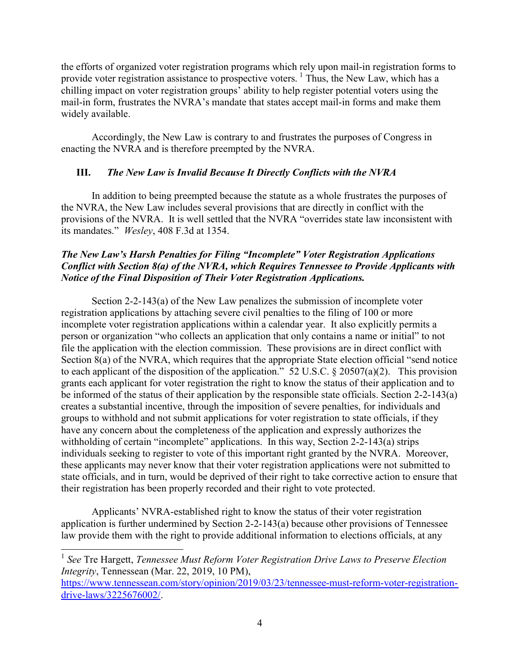the efforts of organized voter registration programs which rely upon mail-in registration forms to provide voter registration assistance to prospective voters.<sup>1</sup> Thus, the New Law, which has a chilling impact on voter registration groups' ability to help register potential voters using the mail-in form, frustrates the NVRA's mandate that states accept mail-in forms and make them widely available.

Accordingly, the New Law is contrary to and frustrates the purposes of Congress in enacting the NVRA and is therefore preempted by the NVRA.

## III. The New Law is Invalid Because It Directly Conflicts with the NVRA

In addition to being preempted because the statute as a whole frustrates the purposes of the NVRA, the New Law includes several provisions that are directly in conflict with the provisions of the NVRA. It is well settled that the NVRA "overrides state law inconsistent with its mandates." Wesley, 408 F.3d at 1354.

# The New Law's Harsh Penalties for Filing "Incomplete" Voter Registration Applications Conflict with Section 8(a) of the NVRA, which Requires Tennessee to Provide Applicants with Notice of the Final Disposition of Their Voter Registration Applications.

Section 2-2-143(a) of the New Law penalizes the submission of incomplete voter registration applications by attaching severe civil penalties to the filing of 100 or more incomplete voter registration applications within a calendar year. It also explicitly permits a person or organization "who collects an application that only contains a name or initial" to not file the application with the election commission. These provisions are in direct conflict with Section 8(a) of the NVRA, which requires that the appropriate State election official "send notice to each applicant of the disposition of the application." 52 U.S.C. § 20507(a)(2). This provision grants each applicant for voter registration the right to know the status of their application and to be informed of the status of their application by the responsible state officials. Section 2-2-143(a) creates a substantial incentive, through the imposition of severe penalties, for individuals and groups to withhold and not submit applications for voter registration to state officials, if they have any concern about the completeness of the application and expressly authorizes the withholding of certain "incomplete" applications. In this way, Section 2-2-143(a) strips individuals seeking to register to vote of this important right granted by the NVRA. Moreover, these applicants may never know that their voter registration applications were not submitted to state officials, and in turn, would be deprived of their right to take corrective action to ensure that their registration has been properly recorded and their right to vote protected.

Applicants' NVRA-established right to know the status of their voter registration application is further undermined by Section 2-2-143(a) because other provisions of Tennessee law provide them with the right to provide additional information to elections officials, at any

 $\overline{a}$ 

 $1$  See Tre Hargett, Tennessee Must Reform Voter Registration Drive Laws to Preserve Election Integrity, Tennessean (Mar. 22, 2019, 10 PM),

https://www.tennessean.com/story/opinion/2019/03/23/tennessee-must-reform-voter-registrationdrive-laws/3225676002/.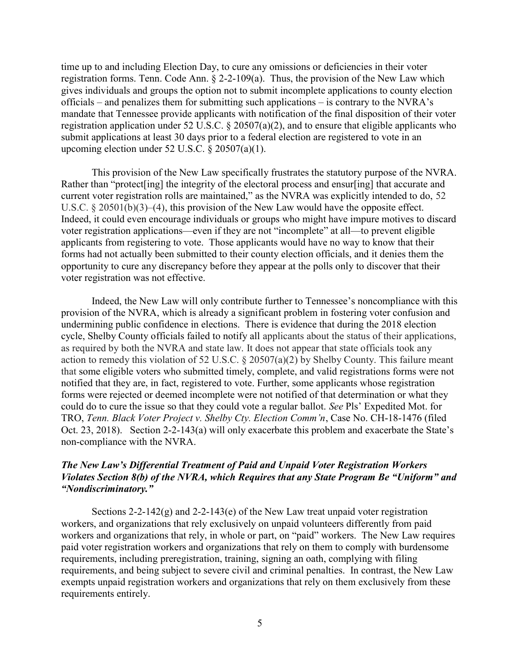time up to and including Election Day, to cure any omissions or deficiencies in their voter registration forms. Tenn. Code Ann. § 2-2-109(a). Thus, the provision of the New Law which gives individuals and groups the option not to submit incomplete applications to county election officials – and penalizes them for submitting such applications – is contrary to the NVRA's mandate that Tennessee provide applicants with notification of the final disposition of their voter registration application under 52 U.S.C. § 20507(a)(2), and to ensure that eligible applicants who submit applications at least 30 days prior to a federal election are registered to vote in an upcoming election under 52 U.S.C. § 20507(a)(1).

This provision of the New Law specifically frustrates the statutory purpose of the NVRA. Rather than "protect [ing] the integrity of the electoral process and ensur[ing] that accurate and current voter registration rolls are maintained," as the NVRA was explicitly intended to do, 52 U.S.C.  $\S 20501(b)(3)–(4)$ , this provision of the New Law would have the opposite effect. Indeed, it could even encourage individuals or groups who might have impure motives to discard voter registration applications—even if they are not "incomplete" at all—to prevent eligible applicants from registering to vote. Those applicants would have no way to know that their forms had not actually been submitted to their county election officials, and it denies them the opportunity to cure any discrepancy before they appear at the polls only to discover that their voter registration was not effective.

Indeed, the New Law will only contribute further to Tennessee's noncompliance with this provision of the NVRA, which is already a significant problem in fostering voter confusion and undermining public confidence in elections. There is evidence that during the 2018 election cycle, Shelby County officials failed to notify all applicants about the status of their applications, as required by both the NVRA and state law. It does not appear that state officials took any action to remedy this violation of 52 U.S.C. § 20507(a)(2) by Shelby County. This failure meant that some eligible voters who submitted timely, complete, and valid registrations forms were not notified that they are, in fact, registered to vote. Further, some applicants whose registration forms were rejected or deemed incomplete were not notified of that determination or what they could do to cure the issue so that they could vote a regular ballot. See Pls' Expedited Mot. for TRO, Tenn. Black Voter Project v. Shelby Cty. Election Comm'n, Case No. CH-18-1476 (filed Oct. 23, 2018). Section 2-2-143(a) will only exacerbate this problem and exacerbate the State's non-compliance with the NVRA.

## The New Law's Differential Treatment of Paid and Unpaid Voter Registration Workers Violates Section 8(b) of the NVRA, which Requires that any State Program Be "Uniform" and "Nondiscriminatory."

Sections 2-2-142 $(g)$  and 2-2-143 $(e)$  of the New Law treat unpaid voter registration workers, and organizations that rely exclusively on unpaid volunteers differently from paid workers and organizations that rely, in whole or part, on "paid" workers. The New Law requires paid voter registration workers and organizations that rely on them to comply with burdensome requirements, including preregistration, training, signing an oath, complying with filing requirements, and being subject to severe civil and criminal penalties. In contrast, the New Law exempts unpaid registration workers and organizations that rely on them exclusively from these requirements entirely.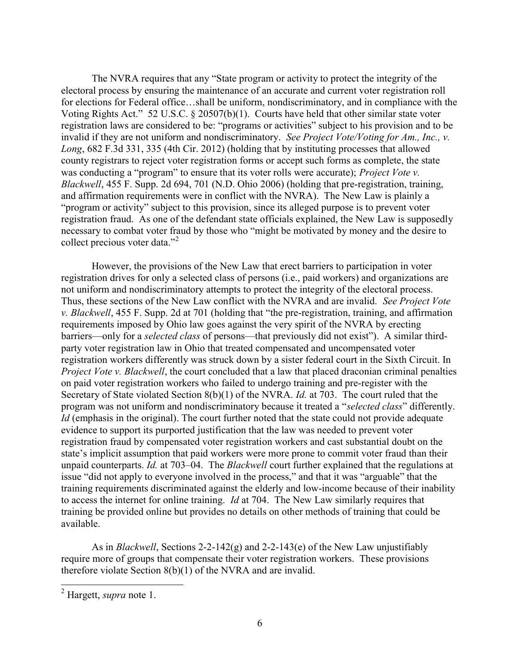The NVRA requires that any "State program or activity to protect the integrity of the electoral process by ensuring the maintenance of an accurate and current voter registration roll for elections for Federal office…shall be uniform, nondiscriminatory, and in compliance with the Voting Rights Act." 52 U.S.C. § 20507(b)(1). Courts have held that other similar state voter registration laws are considered to be: "programs or activities" subject to his provision and to be invalid if they are not uniform and nondiscriminatory. See Project Vote/Voting for Am., Inc., v. Long, 682 F.3d 331, 335 (4th Cir. 2012) (holding that by instituting processes that allowed county registrars to reject voter registration forms or accept such forms as complete, the state was conducting a "program" to ensure that its voter rolls were accurate); *Project Vote v.* Blackwell, 455 F. Supp. 2d 694, 701 (N.D. Ohio 2006) (holding that pre-registration, training, and affirmation requirements were in conflict with the NVRA). The New Law is plainly a "program or activity" subject to this provision, since its alleged purpose is to prevent voter registration fraud. As one of the defendant state officials explained, the New Law is supposedly necessary to combat voter fraud by those who "might be motivated by money and the desire to collect precious voter data."<sup>2</sup>

However, the provisions of the New Law that erect barriers to participation in voter registration drives for only a selected class of persons (i.e., paid workers) and organizations are not uniform and nondiscriminatory attempts to protect the integrity of the electoral process. Thus, these sections of the New Law conflict with the NVRA and are invalid. See Project Vote v. Blackwell, 455 F. Supp. 2d at 701 (holding that "the pre-registration, training, and affirmation requirements imposed by Ohio law goes against the very spirit of the NVRA by erecting barriers—only for a selected class of persons—that previously did not exist"). A similar thirdparty voter registration law in Ohio that treated compensated and uncompensated voter registration workers differently was struck down by a sister federal court in the Sixth Circuit. In Project Vote v. Blackwell, the court concluded that a law that placed draconian criminal penalties on paid voter registration workers who failed to undergo training and pre-register with the Secretary of State violated Section 8(b)(1) of the NVRA. *Id.* at 703. The court ruled that the program was not uniform and nondiscriminatory because it treated a "selected class" differently. Id (emphasis in the original). The court further noted that the state could not provide adequate evidence to support its purported justification that the law was needed to prevent voter registration fraud by compensated voter registration workers and cast substantial doubt on the state's implicit assumption that paid workers were more prone to commit voter fraud than their unpaid counterparts. *Id.* at 703–04. The *Blackwell* court further explained that the regulations at issue "did not apply to everyone involved in the process," and that it was "arguable" that the training requirements discriminated against the elderly and low-income because of their inability to access the internet for online training. Id at 704. The New Law similarly requires that training be provided online but provides no details on other methods of training that could be available.

As in *Blackwell*, Sections 2-2-142(g) and 2-2-143(e) of the New Law unjustifiably require more of groups that compensate their voter registration workers. These provisions therefore violate Section 8(b)(1) of the NVRA and are invalid.

 $\frac{1}{2}$  Hargett, *supra* note 1.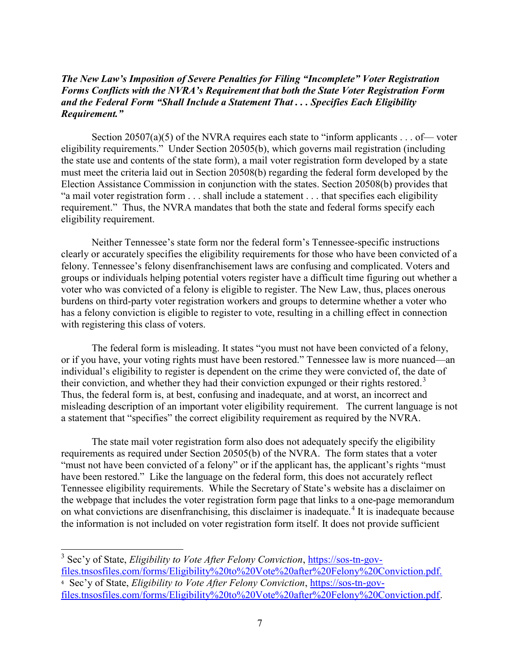## The New Law's Imposition of Severe Penalties for Filing "Incomplete" Voter Registration Forms Conflicts with the NVRA's Requirement that both the State Voter Registration Form and the Federal Form "Shall Include a Statement That . . . Specifies Each Eligibility Requirement."

Section 20507(a)(5) of the NVRA requires each state to "inform applicants . . . of — voter eligibility requirements." Under Section 20505(b), which governs mail registration (including the state use and contents of the state form), a mail voter registration form developed by a state must meet the criteria laid out in Section 20508(b) regarding the federal form developed by the Election Assistance Commission in conjunction with the states. Section 20508(b) provides that "a mail voter registration form . . . shall include a statement . . . that specifies each eligibility requirement." Thus, the NVRA mandates that both the state and federal forms specify each eligibility requirement.

Neither Tennessee's state form nor the federal form's Tennessee-specific instructions clearly or accurately specifies the eligibility requirements for those who have been convicted of a felony. Tennessee's felony disenfranchisement laws are confusing and complicated. Voters and groups or individuals helping potential voters register have a difficult time figuring out whether a voter who was convicted of a felony is eligible to register. The New Law, thus, places onerous burdens on third-party voter registration workers and groups to determine whether a voter who has a felony conviction is eligible to register to vote, resulting in a chilling effect in connection with registering this class of voters.

The federal form is misleading. It states "you must not have been convicted of a felony, or if you have, your voting rights must have been restored." Tennessee law is more nuanced—an individual's eligibility to register is dependent on the crime they were convicted of, the date of their conviction, and whether they had their conviction expunged or their rights restored.<sup>3</sup> Thus, the federal form is, at best, confusing and inadequate, and at worst, an incorrect and misleading description of an important voter eligibility requirement. The current language is not a statement that "specifies" the correct eligibility requirement as required by the NVRA.

 The state mail voter registration form also does not adequately specify the eligibility requirements as required under Section 20505(b) of the NVRA. The form states that a voter "must not have been convicted of a felony" or if the applicant has, the applicant's rights "must have been restored." Like the language on the federal form, this does not accurately reflect Tennessee eligibility requirements. While the Secretary of State's website has a disclaimer on the webpage that includes the voter registration form page that links to a one-page memorandum on what convictions are disenfranchising, this disclaimer is inadequate.<sup>4</sup> It is inadequate because the information is not included on voter registration form itself. It does not provide sufficient

<sup>&</sup>lt;sup>3</sup> Sec'y of State, *Eligibility to Vote After Felony Conviction*, https://sos-tn-govfiles.tnsosfiles.com/forms/Eligibility%20to%20Vote%20after%20Felony%20Conviction.pdf.

<sup>4</sup> Sec'y of State, Eligibility to Vote After Felony Conviction, https://sos-tn-govfiles.tnsosfiles.com/forms/Eligibility%20to%20Vote%20after%20Felony%20Conviction.pdf.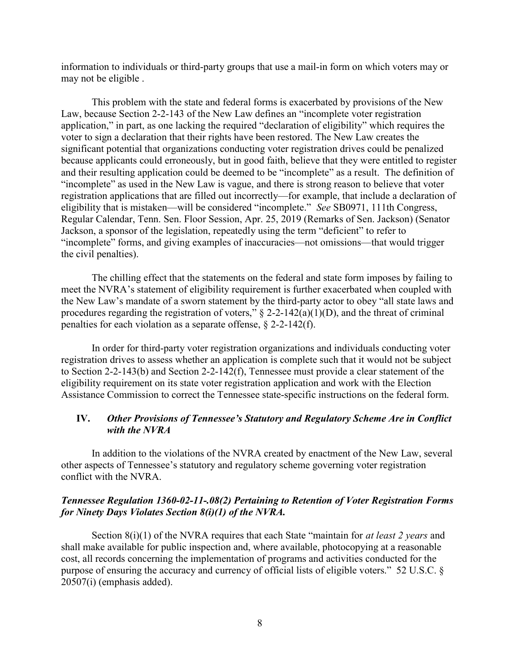information to individuals or third-party groups that use a mail-in form on which voters may or may not be eligible .

This problem with the state and federal forms is exacerbated by provisions of the New Law, because Section 2-2-143 of the New Law defines an "incomplete voter registration application," in part, as one lacking the required "declaration of eligibility" which requires the voter to sign a declaration that their rights have been restored. The New Law creates the significant potential that organizations conducting voter registration drives could be penalized because applicants could erroneously, but in good faith, believe that they were entitled to register and their resulting application could be deemed to be "incomplete" as a result. The definition of "incomplete" as used in the New Law is vague, and there is strong reason to believe that voter registration applications that are filled out incorrectly—for example, that include a declaration of eligibility that is mistaken—will be considered "incomplete." See SB0971, 111th Congress, Regular Calendar, Tenn. Sen. Floor Session, Apr. 25, 2019 (Remarks of Sen. Jackson) (Senator Jackson, a sponsor of the legislation, repeatedly using the term "deficient" to refer to "incomplete" forms, and giving examples of inaccuracies—not omissions—that would trigger the civil penalties).

The chilling effect that the statements on the federal and state form imposes by failing to meet the NVRA's statement of eligibility requirement is further exacerbated when coupled with the New Law's mandate of a sworn statement by the third-party actor to obey "all state laws and procedures regarding the registration of voters,"  $\S$  2-2-142(a)(1)(D), and the threat of criminal penalties for each violation as a separate offense, § 2-2-142(f).

In order for third-party voter registration organizations and individuals conducting voter registration drives to assess whether an application is complete such that it would not be subject to Section 2-2-143(b) and Section 2-2-142(f), Tennessee must provide a clear statement of the eligibility requirement on its state voter registration application and work with the Election Assistance Commission to correct the Tennessee state-specific instructions on the federal form.

#### IV. Other Provisions of Tennessee's Statutory and Regulatory Scheme Are in Conflict with the NVRA

In addition to the violations of the NVRA created by enactment of the New Law, several other aspects of Tennessee's statutory and regulatory scheme governing voter registration conflict with the NVRA.

#### Tennessee Regulation 1360-02-11-.08(2) Pertaining to Retention of Voter Registration Forms for Ninety Days Violates Section 8(i)(1) of the NVRA.

Section  $8(i)(1)$  of the NVRA requires that each State "maintain for *at least 2 years* and shall make available for public inspection and, where available, photocopying at a reasonable cost, all records concerning the implementation of programs and activities conducted for the purpose of ensuring the accuracy and currency of official lists of eligible voters." 52 U.S.C. § 20507(i) (emphasis added).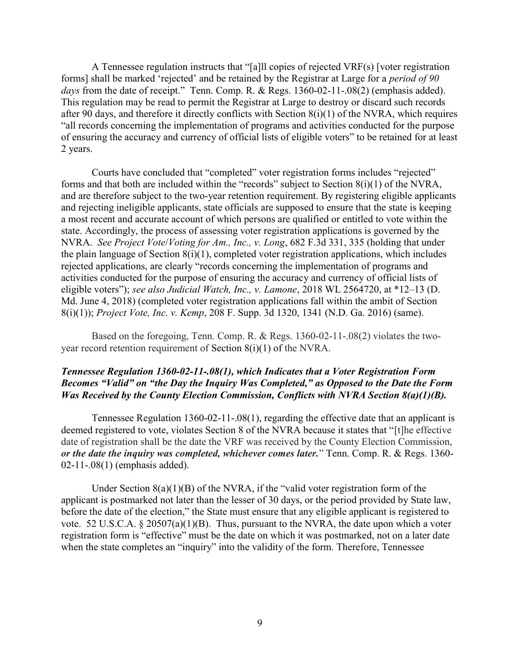A Tennessee regulation instructs that "[a]ll copies of rejected VRF(s) [voter registration forms] shall be marked 'rejected' and be retained by the Registrar at Large for a period of 90 days from the date of receipt." Tenn. Comp. R. & Regs. 1360-02-11-.08(2) (emphasis added). This regulation may be read to permit the Registrar at Large to destroy or discard such records after 90 days, and therefore it directly conflicts with Section 8(i)(1) of the NVRA, which requires "all records concerning the implementation of programs and activities conducted for the purpose of ensuring the accuracy and currency of official lists of eligible voters" to be retained for at least 2 years.

Courts have concluded that "completed" voter registration forms includes "rejected" forms and that both are included within the "records" subject to Section 8(i)(1) of the NVRA, and are therefore subject to the two-year retention requirement. By registering eligible applicants and rejecting ineligible applicants, state officials are supposed to ensure that the state is keeping a most recent and accurate account of which persons are qualified or entitled to vote within the state. Accordingly, the process of assessing voter registration applications is governed by the NVRA. See Project Vote/Voting for Am., Inc., v. Long, 682 F.3d 331, 335 (holding that under the plain language of Section 8(i)(1), completed voter registration applications, which includes rejected applications, are clearly "records concerning the implementation of programs and activities conducted for the purpose of ensuring the accuracy and currency of official lists of eligible voters"); see also Judicial Watch, Inc., v. Lamone, 2018 WL 2564720, at \*12-13 (D. Md. June 4, 2018) (completed voter registration applications fall within the ambit of Section 8(i)(1)); Project Vote, Inc. v. Kemp, 208 F. Supp. 3d 1320, 1341 (N.D. Ga. 2016) (same).

Based on the foregoing, Tenn. Comp. R. & Regs. 1360-02-11-.08(2) violates the twoyear record retention requirement of Section 8(i)(1) of the NVRA.

## Tennessee Regulation 1360-02-11-.08(1), which Indicates that a Voter Registration Form Becomes "Valid" on "the Day the Inquiry Was Completed," as Opposed to the Date the Form Was Received by the County Election Commission, Conflicts with NVRA Section 8(a)(1)(B).

Tennessee Regulation 1360-02-11-.08(1), regarding the effective date that an applicant is deemed registered to vote, violates Section 8 of the NVRA because it states that "[t]he effective date of registration shall be the date the VRF was received by the County Election Commission, or the date the inquiry was completed, whichever comes later." Tenn. Comp. R. & Regs. 1360- 02-11-.08(1) (emphasis added).

Under Section  $8(a)(1)(B)$  of the NVRA, if the "valid voter registration form of the applicant is postmarked not later than the lesser of 30 days, or the period provided by State law, before the date of the election," the State must ensure that any eligible applicant is registered to vote. 52 U.S.C.A.  $\S 20507(a)(1)(B)$ . Thus, pursuant to the NVRA, the date upon which a voter registration form is "effective" must be the date on which it was postmarked, not on a later date when the state completes an "inquiry" into the validity of the form. Therefore, Tennessee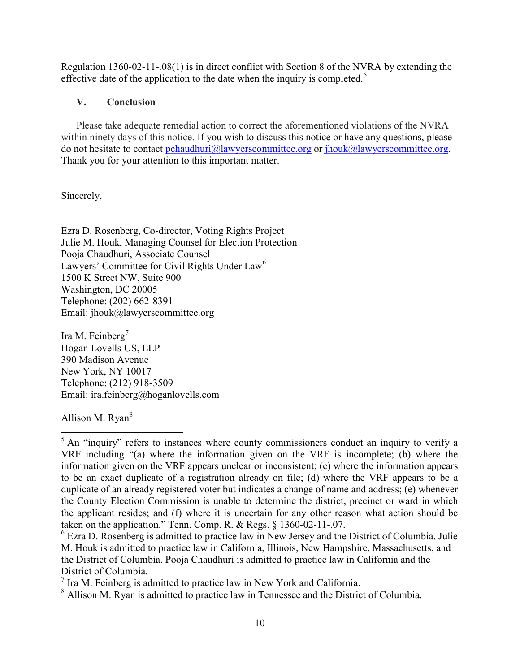Regulation 1360-02-11-.08(1) is in direct conflict with Section 8 of the NVRA by extending the effective date of the application to the date when the inquiry is completed.<sup>5</sup>

# V. Conclusion

Please take adequate remedial action to correct the aforementioned violations of the NVRA within ninety days of this notice. If you wish to discuss this notice or have any questions, please do not hesitate to contact pchaudhuri@lawyerscommittee.org or jhouk@lawyerscommittee.org. Thank you for your attention to this important matter.

Sincerely,

Ezra D. Rosenberg, Co-director, Voting Rights Project Julie M. Houk, Managing Counsel for Election Protection Pooja Chaudhuri, Associate Counsel Lawyers' Committee for Civil Rights Under Law<sup>6</sup> 1500 K Street NW, Suite 900 Washington, DC 20005 Telephone: (202) 662-8391 Email: jhouk@lawyerscommittee.org

Ira M. Feinberg<sup>7</sup> Hogan Lovells US, LLP 390 Madison Avenue New York, NY 10017 Telephone: (212) 918-3509 Email: ira.feinberg@hoganlovells.com

Allison M. Ryan<sup>8</sup>

 $\overline{a}$ 

 $<sup>5</sup>$  An "inquiry" refers to instances where county commissioners conduct an inquiry to verify a</sup> VRF including "(a) where the information given on the VRF is incomplete; (b) where the information given on the VRF appears unclear or inconsistent; (c) where the information appears to be an exact duplicate of a registration already on file; (d) where the VRF appears to be a duplicate of an already registered voter but indicates a change of name and address; (e) whenever the County Election Commission is unable to determine the district, precinct or ward in which the applicant resides; and (f) where it is uncertain for any other reason what action should be taken on the application." Tenn. Comp. R. & Regs. § 1360-02-11-.07.

<sup>&</sup>lt;sup>6</sup> Ezra D. Rosenberg is admitted to practice law in New Jersey and the District of Columbia. Julie M. Houk is admitted to practice law in California, Illinois, New Hampshire, Massachusetts, and the District of Columbia. Pooja Chaudhuri is admitted to practice law in California and the District of Columbia.

 $<sup>7</sup>$  Ira M. Feinberg is admitted to practice law in New York and California.</sup>

<sup>&</sup>lt;sup>8</sup> Allison M. Ryan is admitted to practice law in Tennessee and the District of Columbia.